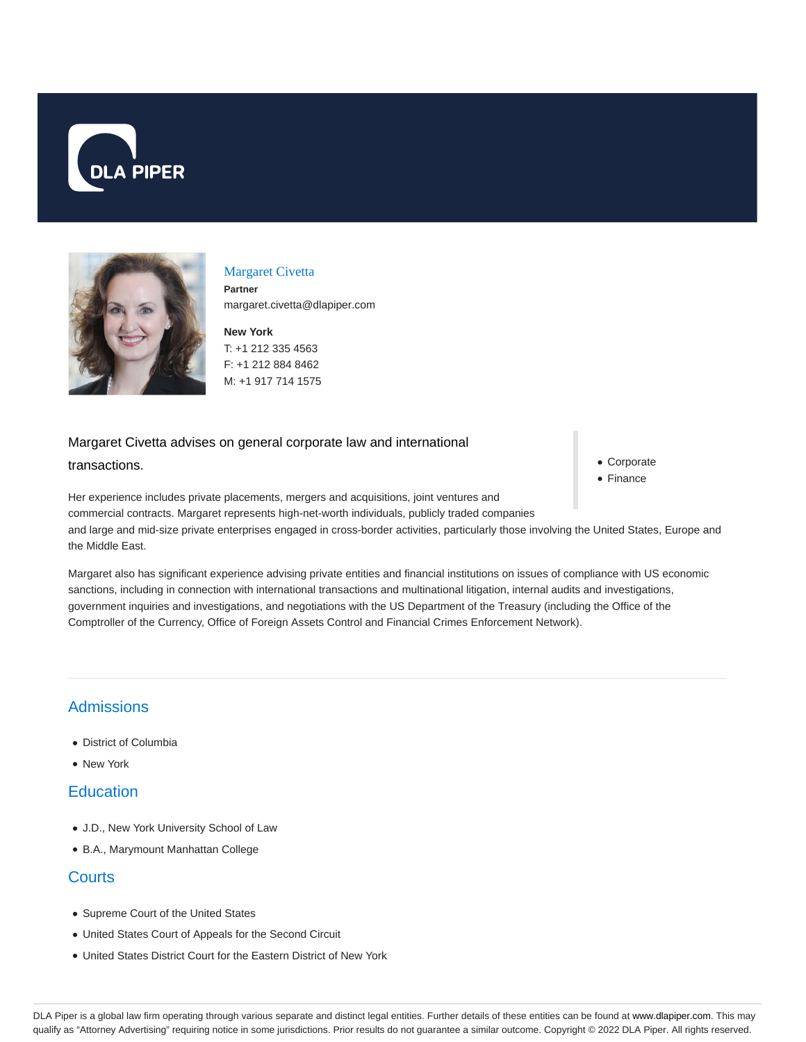



#### Margaret Civetta

**Partner** margaret.civetta@dlapiper.com

**New York** T: +1 212 335 4563 F: +1 212 884 8462 M: +1 917 714 1575

# Margaret Civetta advises on general corporate law and international transactions.

Corporate

Finance

Her experience includes private placements, mergers and acquisitions, joint ventures and commercial contracts. Margaret represents high-net-worth individuals, publicly traded companies and large and mid-size private enterprises engaged in cross-border activities, particularly those involving the United States, Europe and the Middle East.

Margaret also has significant experience advising private entities and financial institutions on issues of compliance with US economic sanctions, including in connection with international transactions and multinational litigation, internal audits and investigations, government inquiries and investigations, and negotiations with the US Department of the Treasury (including the Office of the Comptroller of the Currency, Office of Foreign Assets Control and Financial Crimes Enforcement Network).

## **Admissions**

- District of Columbia
- New York

## **Education**

- J.D., New York University School of Law
- B.A., Marymount Manhattan College

#### **Courts**

- Supreme Court of the United States
- United States Court of Appeals for the Second Circuit
- United States District Court for the Eastern District of New York